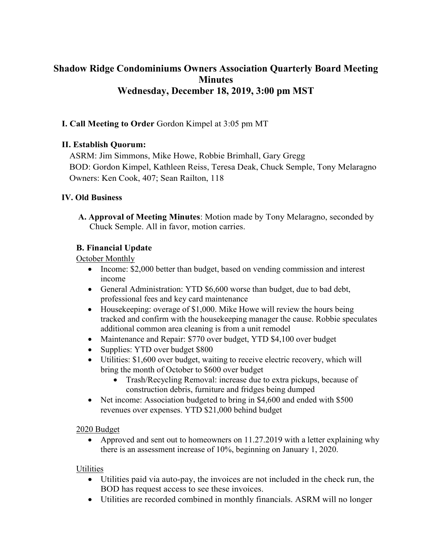# **Shadow Ridge Condominiums Owners Association Quarterly Board Meeting Minutes Wednesday, December 18, 2019, 3:00 pm MST**

### **I. Call Meeting to Order** Gordon Kimpel at 3:05 pm MT

#### **II. Establish Quorum:**

ASRM: Jim Simmons, Mike Howe, Robbie Brimhall, Gary Gregg BOD: Gordon Kimpel, Kathleen Reiss, Teresa Deak, Chuck Semple, Tony Melaragno Owners: Ken Cook, 407; Sean Railton, 118

#### **IV. Old Business**

**A. Approval of Meeting Minutes**: Motion made by Tony Melaragno, seconded by Chuck Semple. All in favor, motion carries.

### **B. Financial Update**

October Monthly

- Income: \$2,000 better than budget, based on vending commission and interest income
- General Administration: YTD \$6,600 worse than budget, due to bad debt, professional fees and key card maintenance
- Housekeeping: overage of \$1,000. Mike Howe will review the hours being tracked and confirm with the housekeeping manager the cause. Robbie speculates additional common area cleaning is from a unit remodel
- Maintenance and Repair: \$770 over budget, YTD \$4,100 over budget
- Supplies: YTD over budget \$800
- Utilities: \$1,600 over budget, waiting to receive electric recovery, which will bring the month of October to \$600 over budget
	- Trash/Recycling Removal: increase due to extra pickups, because of construction debris, furniture and fridges being dumped
- Net income: Association budgeted to bring in \$4,600 and ended with \$500 revenues over expenses. YTD \$21,000 behind budget

#### 2020 Budget

• Approved and sent out to homeowners on 11.27.2019 with a letter explaining why there is an assessment increase of 10%, beginning on January 1, 2020.

#### **Utilities**

- Utilities paid via auto-pay, the invoices are not included in the check run, the BOD has request access to see these invoices.
- Utilities are recorded combined in monthly financials. ASRM will no longer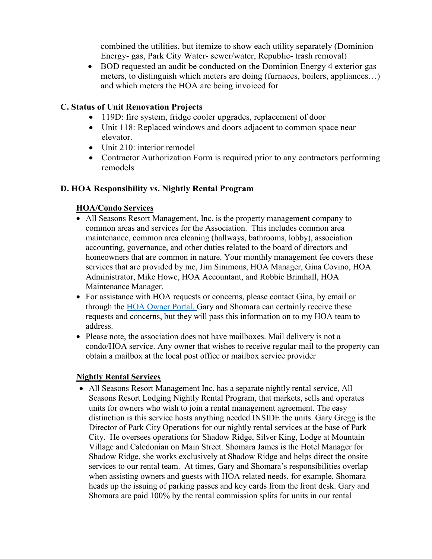combined the utilities, but itemize to show each utility separately (Dominion Energy- gas, Park City Water- sewer/water, Republic- trash removal)

• BOD requested an audit be conducted on the Dominion Energy 4 exterior gas meters, to distinguish which meters are doing (furnaces, boilers, appliances…) and which meters the HOA are being invoiced for

#### **C. Status of Unit Renovation Projects**

- 119D: fire system, fridge cooler upgrades, replacement of door
- Unit 118: Replaced windows and doors adjacent to common space near elevator.
- Unit 210: interior remodel
- Contractor Authorization Form is required prior to any contractors performing remodels

# **D. HOA Responsibility vs. Nightly Rental Program**

# **HOA/Condo Services**

- All Seasons Resort Management, Inc. is the property management company to common areas and services for the Association. This includes common area maintenance, common area cleaning (hallways, bathrooms, lobby), association accounting, governance, and other duties related to the board of directors and homeowners that are common in nature. Your monthly management fee covers these services that are provided by me, Jim Simmons, HOA Manager, Gina Covino, HOA Administrator, Mike Howe, HOA Accountant, and Robbie Brimhall, HOA Maintenance Manager.
- For assistance with HOA requests or concerns, please contact Gina, by email or through the [HOA Owner Portal. G](https://allseasonsresortlodging.managebuilding.com/Resident/portal/login)ary and Shomara can certainly receive these requests and concerns, but they will pass this information on to my HOA team to address.
- Please note, the association does not have mailboxes. Mail delivery is not a condo/HOA service. Any owner that wishes to receive regular mail to the property can obtain a mailbox at the local post office or mailbox service provider

# **Nightly Rental Services**

• All Seasons Resort Management Inc. has a separate nightly rental service, All Seasons Resort Lodging Nightly Rental Program, that markets, sells and operates units for owners who wish to join a rental management agreement. The easy distinction is this service hosts anything needed INSIDE the units. Gary Gregg is the Director of Park City Operations for our nightly rental services at the base of Park City. He oversees operations for Shadow Ridge, Silver King, Lodge at Mountain Village and Caledonian on Main Street. Shomara James is the Hotel Manager for Shadow Ridge, she works exclusively at Shadow Ridge and helps direct the onsite services to our rental team. At times, Gary and Shomara's responsibilities overlap when assisting owners and guests with HOA related needs, for example, Shomara heads up the issuing of parking passes and key cards from the front desk. Gary and Shomara are paid 100% by the rental commission splits for units in our rental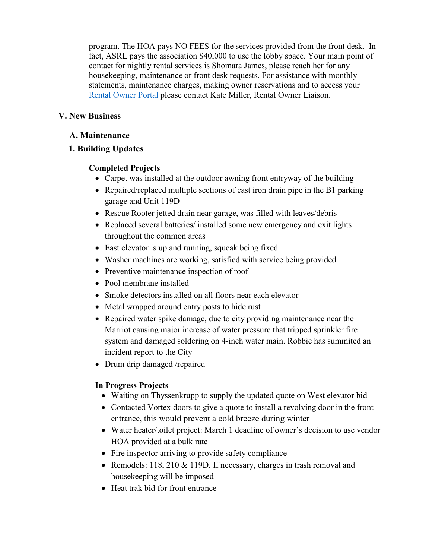program. The HOA pays NO FEES for the services provided from the front desk. In fact, ASRL pays the association \$40,000 to use the lobby space. Your main point of contact for nightly rental services is Shomara James, please reach her for any housekeeping, maintenance or front desk requests. For assistance with monthly statements, maintenance charges, making owner reservations and to access your [Rental Owner Portal](https://search.iqwareinc.com/owners/allseasonsresortlodging/login) please contact Kate Miller, Rental Owner Liaison.

### **V. New Business**

#### **A. Maintenance**

### **1. Building Updates**

### **Completed Projects**

- Carpet was installed at the outdoor awning front entryway of the building
- Repaired/replaced multiple sections of cast iron drain pipe in the B1 parking garage and Unit 119D
- Rescue Rooter jetted drain near garage, was filled with leaves/debris
- Replaced several batteries/ installed some new emergency and exit lights throughout the common areas
- East elevator is up and running, squeak being fixed
- Washer machines are working, satisfied with service being provided
- Preventive maintenance inspection of roof
- Pool membrane installed
- Smoke detectors installed on all floors near each elevator
- Metal wrapped around entry posts to hide rust
- Repaired water spike damage, due to city providing maintenance near the Marriot causing major increase of water pressure that tripped sprinkler fire system and damaged soldering on 4-inch water main. Robbie has summited an incident report to the City
- Drum drip damaged /repaired

#### **In Progress Projects**

- Waiting on Thyssenkrupp to supply the updated quote on West elevator bid
- Contacted Vortex doors to give a quote to install a revolving door in the front entrance, this would prevent a cold breeze during winter
- Water heater/toilet project: March 1 deadline of owner's decision to use vendor HOA provided at a bulk rate
- Fire inspector arriving to provide safety compliance
- Remodels: 118, 210 & 119D. If necessary, charges in trash removal and housekeeping will be imposed
- Heat trak bid for front entrance